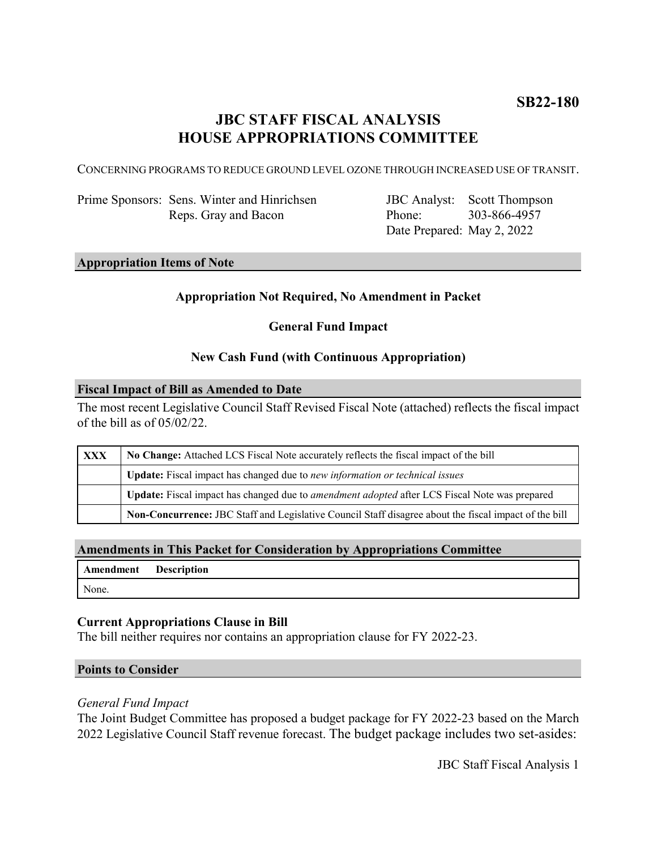# **JBC STAFF FISCAL ANALYSIS HOUSE APPROPRIATIONS COMMITTEE**

CONCERNING PROGRAMS TO REDUCE GROUND LEVEL OZONE THROUGH INCREASED USE OF TRANSIT.

Prime Sponsors: Sens. Winter and Hinrichsen Reps. Gray and Bacon

JBC Analyst: Scott Thompson Phone: Date Prepared: May 2, 2022 303-866-4957

### **Appropriation Items of Note**

# **Appropriation Not Required, No Amendment in Packet**

# **General Fund Impact**

# **New Cash Fund (with Continuous Appropriation)**

#### **Fiscal Impact of Bill as Amended to Date**

The most recent Legislative Council Staff Revised Fiscal Note (attached) reflects the fiscal impact of the bill as of 05/02/22.

| <b>XXX</b> | No Change: Attached LCS Fiscal Note accurately reflects the fiscal impact of the bill                 |  |
|------------|-------------------------------------------------------------------------------------------------------|--|
|            | <b>Update:</b> Fiscal impact has changed due to new information or technical issues                   |  |
|            | Update: Fiscal impact has changed due to <i>amendment adopted</i> after LCS Fiscal Note was prepared  |  |
|            | Non-Concurrence: JBC Staff and Legislative Council Staff disagree about the fiscal impact of the bill |  |

#### **Amendments in This Packet for Consideration by Appropriations Committee**

| <b>Amendment</b> Description |  |
|------------------------------|--|
| None.                        |  |

# **Current Appropriations Clause in Bill**

The bill neither requires nor contains an appropriation clause for FY 2022-23.

#### **Points to Consider**

#### *General Fund Impact*

The Joint Budget Committee has proposed a budget package for FY 2022-23 based on the March 2022 Legislative Council Staff revenue forecast. The budget package includes two set-asides: